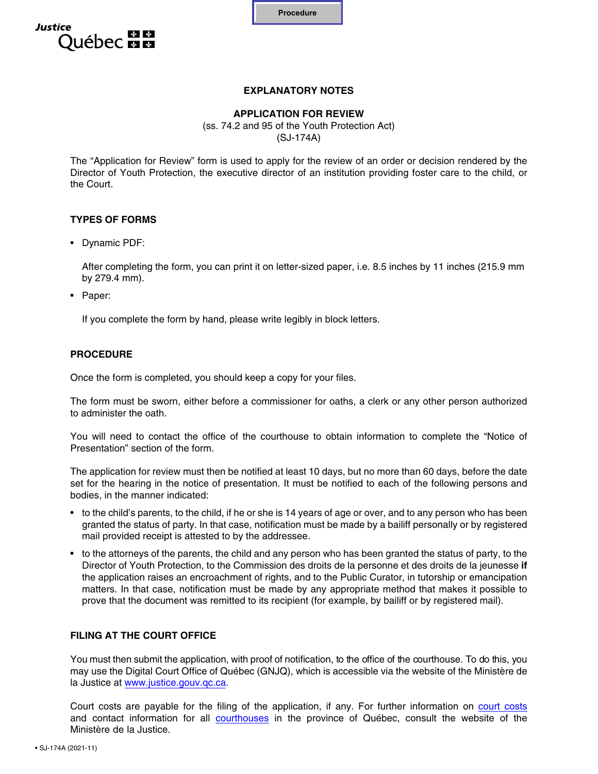

# **Justice** ébec <del>⊠ M</del>

# **EXPLANATORY NOTES**

#### **APPLICATION FOR REVIEW** (ss. 74.2 and 95 of the Youth Protection Act) (SJ-174A)

The "Application for Review" form is used to apply for the review of an order or decision rendered by the Director of Youth Protection, the executive director of an institution providing foster care to the child, or the Court.

# **TYPES OF FORMS**

• Dynamic PDF:

After completing the form, you can print it on letter-sized paper, i.e. 8.5 inches by 11 inches (215.9 mm by  $279.4$  mm).

• Paper:

If you complete the form by hand, please write legibly in block letters.

#### **PROCEDURE**

Once the form is completed, you should keep a copy for your files.

The form must be sworn, either before a commissioner for oaths, a clerk or any other person authorized to administer the oath.

You will need to contact the office of the courthouse to obtain information to complete the "Notice of Presentation" section of the form.

The application for review must then be notified at least 10 days, but no more than 60 days, before the date set for the hearing in the notice of presentation. It must be notified to each of the following persons and bodies, in the manner indicated:

- to the child's parents, to the child, if he or she is 14 years of age or over, and to any person who has been granted the status of party. In that case, notification must be made by a bailiff personally or by registered mail provided receipt is attested to by the addressee.
- to the attorneys of the parents, the child and any person who has been granted the status of party, to the Director of Youth Protection, to the Commission des droits de la personne et des droits de la jeunesse **if** the application raises an encroachment of rights, and to the Public Curator, in tutorship or emancipation matters. In that case, notification must be made by any appropriate method that makes it possible to prove that the document was remitted to its recipient (for example, by bailiff or by registered mail).

# **FILING AT THE COURT OFFICE**

You must then submit the application, with proof of notification, to the office of the courthouse. To do this, you may use the Digital Court Office of Québec (GNJQ), which is accessible via the website of the Ministère de la Justice at [w](https://gnjq.justice.gouv.qc.ca/en/Accueil)[ww.justice.gouv.qc.c](http://www.justice.gouv.qc.ca)[a.](https://gnjq.justice.gouv.qc.ca/en/Accueil)

Court costs are payable for the filing of the application, if any. For further information o[n court costs](https://www.justice.gouv.qc.ca/en/documentation-center/tariff-of-court-costs) and contact information for al[l courthouses](https://www.justice.gouv.qc.ca/nous-joindre/trouver-un-palais-de-justice/) in the province of Québec, consult the website of the Ministère de la Justice.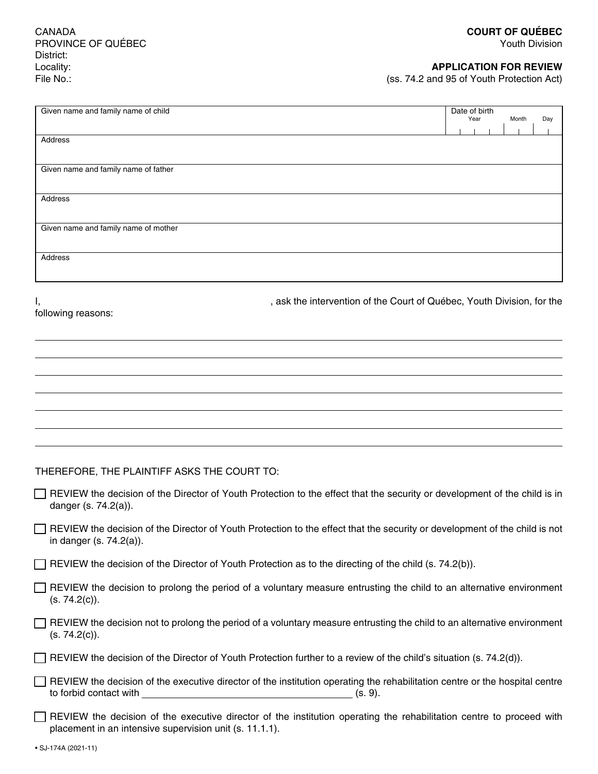CANADA PROVINCE OF QUÉBEC District: Locality: File No.:

Youth Division

#### **APPLICATION FOR REVIEW**

(ss. 74.2 and 95 of Youth Protection Act)

| Given name and family name of child  | Date of birth<br>Year |  | Day<br>Month |  |  |
|--------------------------------------|-----------------------|--|--------------|--|--|
|                                      |                       |  |              |  |  |
| Address                              |                       |  |              |  |  |
|                                      |                       |  |              |  |  |
| Given name and family name of father |                       |  |              |  |  |
|                                      |                       |  |              |  |  |
| Address                              |                       |  |              |  |  |
|                                      |                       |  |              |  |  |
| Given name and family name of mother |                       |  |              |  |  |
|                                      |                       |  |              |  |  |
| Address                              |                       |  |              |  |  |
|                                      |                       |  |              |  |  |

following reasons:

I, the intervention of the Court of Québec, Youth Division, for the Court of Québec, Youth Division, for the

THEREFORE, THE PLAINTIFF ASKS THE COURT TO:

| REVIEW the decision of the Director of Youth Protection to the effect that the security or development of the child is in |  |  |  |
|---------------------------------------------------------------------------------------------------------------------------|--|--|--|
| danger (s. 74.2(a)).                                                                                                      |  |  |  |

REVIEW the decision of the Director of Youth Protection to the effect that the security or development of the child is not in danger (s. 74.2(a)).

REVIEW the decision of the Director of Youth Protection as to the directing of the child (s. 74.2(b)).

| REVIEW the decision to prolong the period of a voluntary measure entrusting the child to an alternative environment |  |  |
|---------------------------------------------------------------------------------------------------------------------|--|--|
| (s. 74.2(c)).                                                                                                       |  |  |

REVIEW the decision not to prolong the period of a voluntary measure entrusting the child to an alternative environment (s. 74.2(c)).

|  | $\Box$ REVIEW the decision of the Director of Youth Protection further to a review of the child's situation (s. 74.2(d)). |  |  |  |
|--|---------------------------------------------------------------------------------------------------------------------------|--|--|--|
|--|---------------------------------------------------------------------------------------------------------------------------|--|--|--|

|                        | $\Box$ REVIEW the decision of the executive director of the institution operating the rehabilitation centre or the hospital centre |         |  |
|------------------------|------------------------------------------------------------------------------------------------------------------------------------|---------|--|
| to forbid contact with |                                                                                                                                    | (s. 9). |  |

REVIEW the decision of the executive director of the institution operating the rehabilitation centre to proceed with placement in an intensive supervision unit (s. 11.1.1).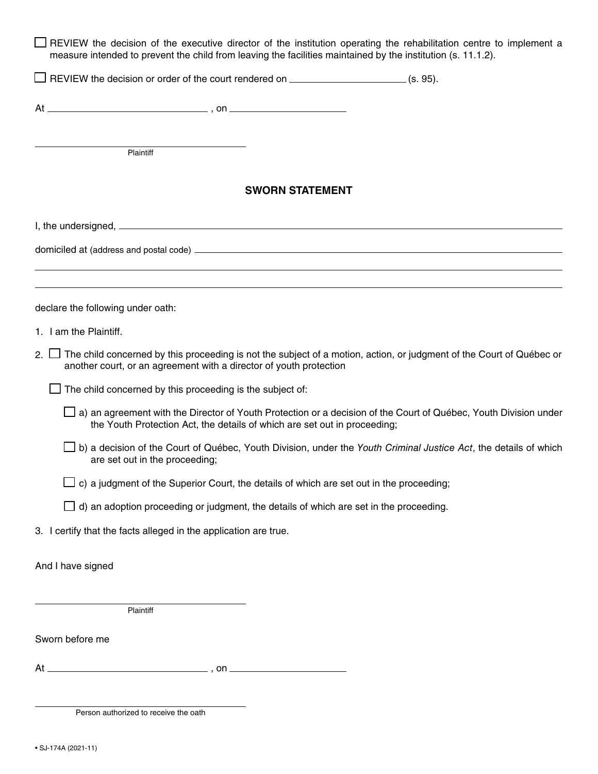| □ REVIEW the decision of the executive director of the institution operating the rehabilitation centre to implement a<br>measure intended to prevent the child from leaving the facilities maintained by the institution (s. 11.1.2). |                        |                                                                                                                  |
|---------------------------------------------------------------------------------------------------------------------------------------------------------------------------------------------------------------------------------------|------------------------|------------------------------------------------------------------------------------------------------------------|
| REVIEW the decision or order of the court rendered on __________________________(s. 95).                                                                                                                                              |                        |                                                                                                                  |
|                                                                                                                                                                                                                                       |                        |                                                                                                                  |
|                                                                                                                                                                                                                                       |                        |                                                                                                                  |
| Plaintiff                                                                                                                                                                                                                             |                        |                                                                                                                  |
|                                                                                                                                                                                                                                       | <b>SWORN STATEMENT</b> |                                                                                                                  |
|                                                                                                                                                                                                                                       |                        |                                                                                                                  |
| domiciled at (address and postal code) example and the state of the state of the state of the state of the state of the state of the state of the state of the state of the state of the state of the state of the state of th        |                        |                                                                                                                  |
|                                                                                                                                                                                                                                       |                        | ,我们也不会有什么。""我们的人,我们也不会有什么?""我们的人,我们也不会有什么?""我们的人,我们也不会有什么?""我们的人,我们也不会有什么?""我们的人                                 |
| declare the following under oath:                                                                                                                                                                                                     |                        |                                                                                                                  |
| 1. I am the Plaintiff.                                                                                                                                                                                                                |                        |                                                                                                                  |
| 2. The child concerned by this proceeding is not the subject of a motion, action, or judgment of the Court of Québec or<br>another court, or an agreement with a director of youth protection                                         |                        |                                                                                                                  |
| The child concerned by this proceeding is the subject of:                                                                                                                                                                             |                        |                                                                                                                  |
| the Youth Protection Act, the details of which are set out in proceeding;                                                                                                                                                             |                        | a) an agreement with the Director of Youth Protection or a decision of the Court of Québec, Youth Division under |
| are set out in the proceeding;                                                                                                                                                                                                        |                        | b) a decision of the Court of Québec, Youth Division, under the Youth Criminal Justice Act, the details of which |
| c) a judgment of the Superior Court, the details of which are set out in the proceeding;                                                                                                                                              |                        |                                                                                                                  |
| $\Box$ d) an adoption proceeding or judgment, the details of which are set in the proceeding.                                                                                                                                         |                        |                                                                                                                  |
| 3. I certify that the facts alleged in the application are true.                                                                                                                                                                      |                        |                                                                                                                  |
| And I have signed                                                                                                                                                                                                                     |                        |                                                                                                                  |
|                                                                                                                                                                                                                                       |                        |                                                                                                                  |
| Plaintiff                                                                                                                                                                                                                             |                        |                                                                                                                  |
| Sworn before me                                                                                                                                                                                                                       |                        |                                                                                                                  |
|                                                                                                                                                                                                                                       |                        |                                                                                                                  |
|                                                                                                                                                                                                                                       |                        |                                                                                                                  |
| Person authorized to receive the oath                                                                                                                                                                                                 |                        |                                                                                                                  |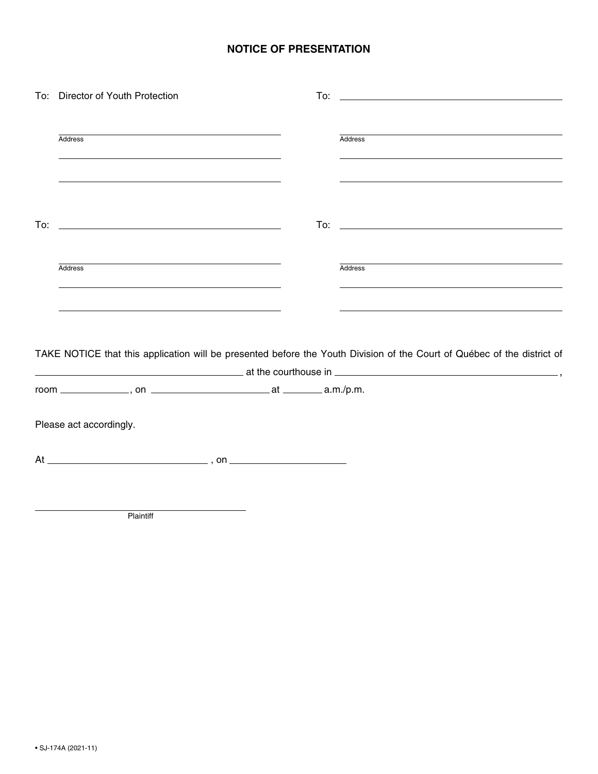# **NOTICE OF PRESENTATION**

|     | To: Director of Youth Protection                                                                                                                                                                                                                |                                                                                                                                                                                                                  |
|-----|-------------------------------------------------------------------------------------------------------------------------------------------------------------------------------------------------------------------------------------------------|------------------------------------------------------------------------------------------------------------------------------------------------------------------------------------------------------------------|
|     | <b>Address</b><br>the control of the control of the control of the control of the control of the control of the control of the control of the control of the control of the control of the control of the control of the control of the control | <b>Address</b><br><u> 1999 - Johann Stoff, amerikansk politiker (d. 1989)</u>                                                                                                                                    |
|     | the contract of the contract of the contract of the contract of the contract of the contract of the contract of                                                                                                                                 |                                                                                                                                                                                                                  |
| To: | <u> Alexandria de la contrada de la contrada de la contrada de la contrada de la contrada de la contrada de la c</u>                                                                                                                            |                                                                                                                                                                                                                  |
|     | <b>Address</b><br><u> 1989 - Johann Stoff, deutscher Stoffen und der Stoffen und der Stoffen und der Stoffen und der Stoffen und der</u>                                                                                                        | Address<br><u> 1999 - Johann Harry Harry Harry Harry Harry Harry Harry Harry Harry Harry Harry Harry Harry Harry Harry Harry H</u>                                                                               |
|     | <u> 1989 - Johann Barn, mars ann an t-Amhain ann an t-Amhain ann an t-Amhain ann an t-Amhain an t-Amhain ann an t-</u>                                                                                                                          | <u> 1999 - Johann Stoff, amerikansk politiker (d. 1989)</u>                                                                                                                                                      |
|     |                                                                                                                                                                                                                                                 | TAKE NOTICE that this application will be presented before the Youth Division of the Court of Québec of the district of<br>$\frac{1}{2}$ at the courthouse in $\frac{1}{2}$ at the courthouse in $\frac{1}{2}$ , |
|     |                                                                                                                                                                                                                                                 |                                                                                                                                                                                                                  |
|     | Please act accordingly.                                                                                                                                                                                                                         |                                                                                                                                                                                                                  |
|     |                                                                                                                                                                                                                                                 |                                                                                                                                                                                                                  |
|     |                                                                                                                                                                                                                                                 |                                                                                                                                                                                                                  |

**Plaintiff**